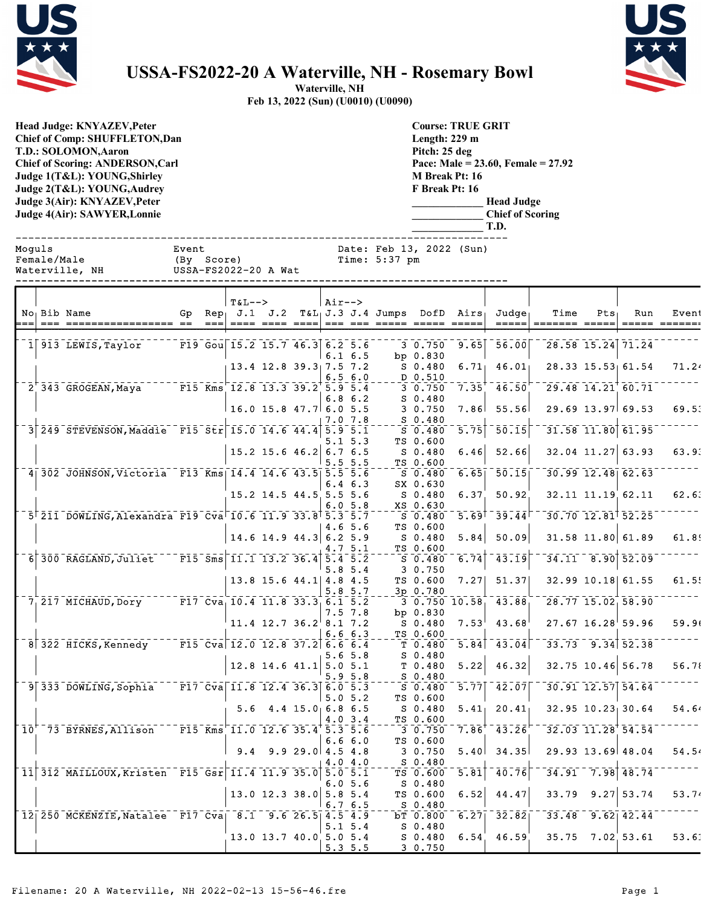



## **USSA-FS2022-20 A Waterville, NH - Rosemary Bowl**

**Waterville, NH Feb 13, 2022 (Sun) (U0010) (U0090)**

**Head Judge: KNYAZEV,Peter Chief of Comp: SHUFFLETON,Dan T.D.: SOLOMON,Aaron Chief of Scoring: ANDERSON,Carl Judge 1(T&L): YOUNG,Shirley Judge 2(T&L): YOUNG,Audrey Judge 3(Air): KNYAZEV,Peter Judge 4(Air): SAWYER,Lonnie** 

**Course: TRUE GRIT Length: 229 m Pitch: 25 deg Pace: Male = 23.60, Female = 27.92 M Break Pt: 16 F Break Pt: 16 \_\_\_\_\_\_\_\_\_\_\_\_\_ Head Judge \_\_\_\_\_\_\_\_\_\_\_\_\_ Chief of Scoring**

|        |             |                                                             |                     |                            |                                                                                                                         |                                |         |              |                                                    |                                 |                   | T.D.                                                                      |                                  |                        |                         |       |
|--------|-------------|-------------------------------------------------------------|---------------------|----------------------------|-------------------------------------------------------------------------------------------------------------------------|--------------------------------|---------|--------------|----------------------------------------------------|---------------------------------|-------------------|---------------------------------------------------------------------------|----------------------------------|------------------------|-------------------------|-------|
| Moquls | Female/Male | Waterville, NH<br>--------------------                      | Event<br>(By Score) |                            | USSA-FS2022-20 A Wat                                                                                                    |                                |         |              | Date: Feb 13, 2022 (Sun)<br>Time: 5:37 pm          |                                 |                   |                                                                           |                                  |                        |                         |       |
|        |             |                                                             |                     |                            | $T\delta I --$                                                                                                          |                                | $Air--$ |              |                                                    |                                 |                   |                                                                           |                                  |                        |                         |       |
|        |             | No Bib Name<br>=== ===========                              | === ==              | $=$ $=$ $=$ $\blacksquare$ |                                                                                                                         |                                |         |              | <u>---- ---- ---- --- --- ---- ---- ----- ----</u> |                                 |                   | Gp Rep J.1 J.2 T&L J.3 J.4 Jumps DofD Airs Judge<br>$=$ $=$ $=$ $=$ $\pm$ | Time<br>======= ===              | $Pts_1$                | Run                     | Event |
|        |             |                                                             |                     |                            | F19 Gou 15.2 15.7 46.3 6.2 5.6                                                                                          |                                |         |              |                                                    |                                 |                   |                                                                           |                                  |                        |                         |       |
|        |             | $1 913$ LEWIS, Taylor                                       |                     |                            |                                                                                                                         |                                |         | $6.1\;6.5$   |                                                    | 3 0.750<br>bp $0.830$           | 9.65              | $-56.00$                                                                  |                                  | $28.58$ 15.24 71.24    |                         |       |
|        |             |                                                             |                     |                            |                                                                                                                         | $13.4$ 12.8 39.3 7.5 7.2       |         |              |                                                    | $S$ 0.480                       | 6.71              | 46.01                                                                     |                                  |                        | 28.33 15.53 61.54       | 71.24 |
|        |             | $2^{+}$ 343 GROGEAN, Maya                                   |                     |                            | $F15$ Kms $12.8$ 13.3 39.2 5.9 5.4                                                                                      |                                |         | 6.56.0       |                                                    | D 0.510<br>30.750               | 7.35              | $-\bar{46.50}$                                                            |                                  | $29.48$ $14.21$ 60.71  |                         |       |
|        |             |                                                             |                     |                            |                                                                                                                         |                                |         | $6.8\;6.2$   |                                                    | $S_0.480$                       |                   |                                                                           |                                  |                        |                         |       |
|        |             |                                                             |                     |                            | $16.0$ 15.8 47.7 6.0 5.5                                                                                                |                                |         |              |                                                    | 30.750                          |                   | 7.86 55.56                                                                |                                  |                        | $29.69$ 13.97 69.53     | 69.53 |
|        |             | 3 249 STEVENSON, Maddie F15 Str 15.0 14.6 44.4 5.9 5.1      |                     |                            |                                                                                                                         |                                |         | 7.0 7.8      |                                                    | $S = 0.480$<br>S 0.480          | 5.75              | 50.15                                                                     |                                  | $31.58$ $11.80$ 61.95  |                         |       |
|        |             |                                                             |                     |                            |                                                                                                                         |                                |         | $5.1 \, 5.3$ |                                                    | TS 0.600                        |                   |                                                                           |                                  |                        |                         |       |
|        |             |                                                             |                     |                            |                                                                                                                         | $15.2$ 15.6 46.2 6.7 6.5       |         |              |                                                    | S 0.480                         | 6.46              | 52.66                                                                     |                                  |                        | $32.04$ 11.27 63.93     | 63.93 |
|        |             | 4 302 JOHNSON, Victoria F13 Kms 14.4 14.6 43.5 5.5 5.6      |                     |                            |                                                                                                                         |                                |         | 5.55.5       |                                                    | TS 0.600<br>S 0.480             | 6.65              | $\overline{50.15}$                                                        |                                  |                        | $30.99$ $12.48$ 62.63   |       |
|        |             |                                                             |                     |                            |                                                                                                                         |                                |         | $6.4\;6.3$   |                                                    | SX 0.630                        |                   |                                                                           |                                  |                        |                         |       |
|        |             |                                                             |                     |                            |                                                                                                                         | $15.2$ 14.5 44.5 5.5 5.6       |         |              |                                                    | S 0.480                         | 6.37              | 50.92                                                                     |                                  |                        | 32.11 11.19 62.11       | 62.63 |
|        |             | 5 211 DOWLING, Alexandra F19 Cva 10.6 11.9 33.8 5.3 5.7     |                     |                            |                                                                                                                         |                                |         | 6.05.8       |                                                    | XS 0.630<br>S 0.480             |                   | $\overline{5.69}$ <sup>+</sup> $\overline{39.44}$                         |                                  |                        | $30.70$ $12.81$ $52.25$ |       |
|        |             |                                                             |                     |                            |                                                                                                                         |                                |         | 4.6 5.6      |                                                    | TS 0.600                        |                   |                                                                           |                                  |                        |                         |       |
|        |             |                                                             |                     |                            |                                                                                                                         | $14.6$ 14.9 44.3 6.2 5.9       |         |              |                                                    | S 0.480<br>TS 0.600             | 5.84              | 50.09                                                                     |                                  |                        | 31.58 11.80 61.89       | 61.89 |
|        |             | 6 300 RAGLAND, Juliet                                       |                     |                            | $\sqrt{15}$ $\overline{\text{Sms}}$ $\sqrt{11.1}$ $\overline{13.2}$ $\overline{36.4}$ $\overline{5.4}$ $\overline{5.2}$ |                                |         | 4.7 5.1      |                                                    | S 0.480                         |                   | $\overline{6.74}$ $\overline{43.19}$                                      |                                  |                        | $34.11 - 8.90$ 52.09    |       |
|        |             |                                                             |                     |                            |                                                                                                                         |                                |         | 5.85.4       |                                                    | 3 0.750                         |                   |                                                                           |                                  |                        |                         |       |
|        |             |                                                             |                     |                            |                                                                                                                         | 13.8 15.6 44.1 4.8 4.5         |         | 5.8 5.7      |                                                    | TS 0.600<br>3p 0.780            | 7.27              | 51.37                                                                     |                                  |                        | 32.99 10.18 61.55       | 61.55 |
|        |             | $7,217$ MICHAUD, Dory F17 Cva, 10.4 11.8 33.3 6.1 5.2       |                     |                            |                                                                                                                         |                                |         |              |                                                    | $3\overline{0.750}$ $10.58$     |                   | $-43.88$                                                                  |                                  |                        | $28.77$ 15.02 58.90     |       |
|        |             |                                                             |                     |                            |                                                                                                                         |                                |         | $7.5$ $7.8$  |                                                    | bp $0.830$                      |                   |                                                                           |                                  |                        |                         |       |
|        |             |                                                             |                     |                            |                                                                                                                         | $11.4$ 12.7 36.2 8.1 7.2       |         | 6.66.3       |                                                    | $S$ 0.480<br>TS 0.600           | $7.53^{\circ}$    | 43.68                                                                     |                                  |                        | $27.67$ 16.28 59.96     | 59.96 |
|        |             | 8 322 HICKS, Kennedy                                        |                     |                            | $\sqrt{15}$ Cva 12.0 12.8 37.2 6.6 6.4                                                                                  |                                |         |              |                                                    | T <sub>0.480</sub>              |                   | $\overline{5.84}$ $\overline{43.04}$                                      |                                  |                        | $33.73$ $9.34$ $52.38$  |       |
|        |             |                                                             |                     |                            |                                                                                                                         |                                |         | 5.6 5.8      |                                                    | $S_0.480$                       |                   |                                                                           |                                  |                        |                         |       |
|        |             |                                                             |                     |                            |                                                                                                                         | $12.8$ 14.6 41.1 5.0 5.1       |         | $5.9\,5.8$   |                                                    | T <sub>0.480</sub><br>$S$ 0.480 | 5.22              | 46.32                                                                     |                                  |                        | 32.75 10.46 56.78       | 56.78 |
|        |             | $9$ $333$ DOWLING, Sophia                                   |                     |                            | $\overline{F17}$ Cva 11.8 12.4 36.3 6.0 5.3                                                                             |                                |         |              |                                                    | $S_0.480$                       | $\overline{5.77}$ | $-42.07$                                                                  |                                  |                        | $30.91$ $12.57$ $54.64$ |       |
|        |             |                                                             |                     |                            |                                                                                                                         | $5.6$ 4.4 15.0 6.8 6.5         |         | 5.05.2       |                                                    | TS 0.600<br>$S$ 0.480           |                   | $5.41$ 20.41                                                              |                                  |                        | $32.95$ $10.23$ 30.64   | 54.64 |
|        |             |                                                             |                     |                            |                                                                                                                         |                                |         | $4.0 \, 3.4$ |                                                    | TS 0.600                        |                   |                                                                           |                                  |                        |                         |       |
|        |             | $10^{17}$ 73 BYRNES, Allison F15 Kms 11.0 12.6 35.4 5.3 5.6 |                     |                            |                                                                                                                         |                                |         |              |                                                    |                                 |                   | $3\overline{0.750}$ 7.86 $43.26$                                          | $32.03$ $11.28$ <sup>54.54</sup> |                        |                         |       |
|        |             |                                                             |                     |                            |                                                                                                                         | $9.4$ $9.9$ $29.0$ $4.5$ $4.8$ |         | 6.66.0       |                                                    | TS 0.600<br>3 0.750             |                   | $5.40$ 34.35                                                              |                                  |                        | 29.93 13.69 48.04       | 54.54 |
|        |             |                                                             |                     |                            |                                                                                                                         |                                |         | 4.04.0       |                                                    | S 0.480                         |                   |                                                                           |                                  |                        |                         |       |
|        |             | 11 312 MAILLOUX, Kristen F15 Gsr 11.4 11.9 35.0 5.0 5.1     |                     |                            |                                                                                                                         |                                |         |              |                                                    | TS 0.600                        |                   | $\overline{5.81}$ $\overline{40.76}$                                      |                                  | $-34.91 - 7.98$ 48.74  |                         |       |
|        |             |                                                             |                     |                            |                                                                                                                         | $13.0$ 12.3 38.0 5.8 5.4       |         | 6.05.6       |                                                    | S 0.480<br>TS 0.600             | 6.52              | 44.47                                                                     |                                  |                        | $33.79$ $9.27$ 53.74    | 53.74 |
|        |             |                                                             |                     |                            |                                                                                                                         |                                |         | 6.76.5       |                                                    | S 0.480                         |                   |                                                                           |                                  |                        |                         |       |
|        |             | 12 250 MCKENZIE, Natalee F17 Cva 8.1 9.6 26.5 4.5 4.9       |                     |                            |                                                                                                                         |                                |         |              |                                                    | bT 0.800                        |                   | $6.27$   $32.82$                                                          |                                  | $33.48$ $9.62$ $42.44$ |                         |       |
|        |             |                                                             |                     |                            |                                                                                                                         | 13.0 13.7 40.0 5.0 5.4         |         | $5.1 \, 5.4$ |                                                    | S 0.480<br>$S$ 0.480            |                   | $6.54$ 46.59                                                              |                                  |                        | $35.75$ $7.02$ 53.61    | 53.61 |
|        |             |                                                             |                     |                            |                                                                                                                         |                                | 5.35.5  |              |                                                    | 3 0.750                         |                   |                                                                           |                                  |                        |                         |       |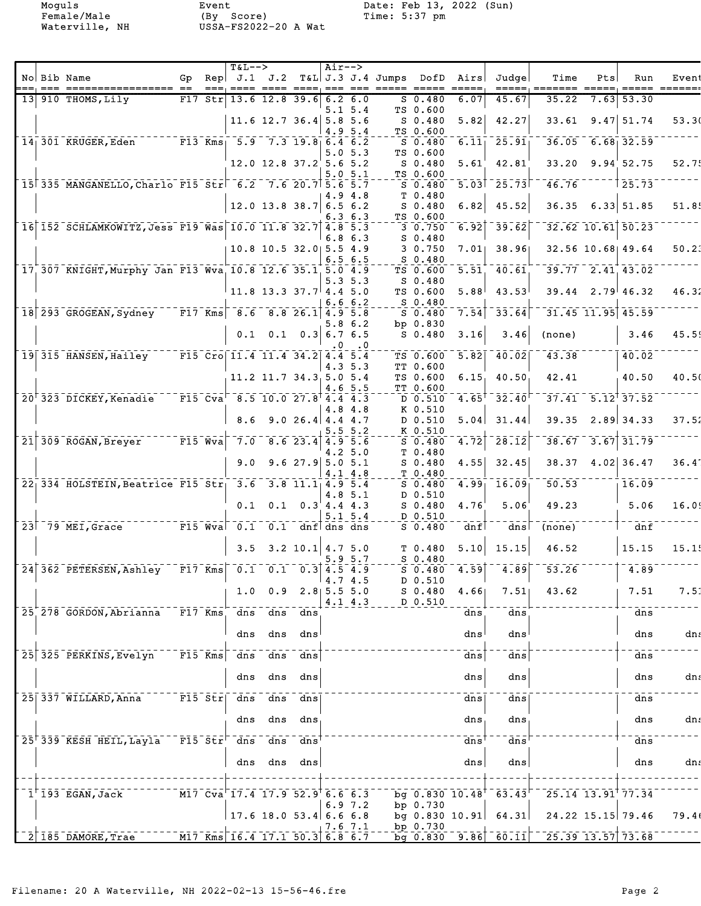Female/Male (By Score) Time: 5:37 pm Waterville, NH USSA-FS2022-20 A Wat

Moguls Event Date: Feb 13, 2022 (Sun)

|  |                                                                                            |     |                                                            | <b>T&amp;L--&gt;</b>                                                                                      |                                |                                 | $Air--$ |                            |                                                              |                                                                                                                                                                                                                                                                                                                                                                                                                                                                                   |                                       |        |                                                          |                                                   |       |
|--|--------------------------------------------------------------------------------------------|-----|------------------------------------------------------------|-----------------------------------------------------------------------------------------------------------|--------------------------------|---------------------------------|---------|----------------------------|--------------------------------------------------------------|-----------------------------------------------------------------------------------------------------------------------------------------------------------------------------------------------------------------------------------------------------------------------------------------------------------------------------------------------------------------------------------------------------------------------------------------------------------------------------------|---------------------------------------|--------|----------------------------------------------------------|---------------------------------------------------|-------|
|  | No Bib Name                                                                                | Gp. |                                                            |                                                                                                           |                                |                                 |         |                            | Rep $J.1$ $J.2$ T&L J.3 J.4 Jumps DofD Airs<br>$= = = = = =$ | $\qquad \qquad \doteq \qquad \qquad \doteq \qquad \qquad \doteq \qquad \qquad \doteq \qquad \qquad \doteq \qquad \qquad \doteq \qquad \qquad \qquad \doteq \qquad \qquad \doteq \qquad \qquad \doteq \qquad \qquad \doteq \qquad \qquad \doteq \qquad \qquad \doteq \qquad \qquad \doteq \qquad \qquad \doteq \qquad \qquad \doteq \qquad \qquad \doteq \qquad \qquad \doteq \qquad \qquad \doteq \qquad \qquad \doteq \qquad \qquad \doteq \qquad \qquad \doteq \qquad \qquad \$ | Judge                                 | Time   | Pts<br>$=$ $=$ $=$ $=$ $\cdot$                           | Run<br>$\qquad \qquad \overline{\qquad \qquad }=$ | Event |
|  | 13 910 THOMS, Lily                                                                         | F17 |                                                            | $Str$ 13.6 12.8 39.6 6.2 6.0                                                                              |                                |                                 |         |                            | $S_0.480$                                                    | 6.07                                                                                                                                                                                                                                                                                                                                                                                                                                                                              | 45.67                                 | 35.22  | 7.63                                                     | 53.30                                             |       |
|  |                                                                                            |     |                                                            |                                                                                                           | 11.6 12.7 36.4 5.8 5.6         |                                 |         | 5.15.4                     | TS 0.600<br>$S_0.480$                                        | 5.82                                                                                                                                                                                                                                                                                                                                                                                                                                                                              | 42.27                                 | 33.61  |                                                          | $9.47$ 51.74                                      | 53.30 |
|  |                                                                                            |     |                                                            |                                                                                                           |                                |                                 | 4.9     | 5.4                        | TS 0.600                                                     |                                                                                                                                                                                                                                                                                                                                                                                                                                                                                   |                                       |        |                                                          |                                                   |       |
|  | $14$ 301 KRUGER, Eden F13 Kms 5.9 7.3 19.8 6.4 6.2                                         |     |                                                            |                                                                                                           |                                |                                 |         |                            | $S$ 0.480                                                    | 6.11                                                                                                                                                                                                                                                                                                                                                                                                                                                                              | $\overline{25.91}$                    |        |                                                          | $36.05 - 6.68$ 32.59                              |       |
|  |                                                                                            |     |                                                            |                                                                                                           | $12.0$ $12.8$ $37.2$ 5.6 5.2   |                                 |         | 5.05.3                     | TS 0.600<br>$S$ 0.480                                        | $5.61^{\circ}$                                                                                                                                                                                                                                                                                                                                                                                                                                                                    | 42.81                                 | 33.20  |                                                          | 9.94'52.75                                        | 52.75 |
|  |                                                                                            |     |                                                            |                                                                                                           |                                |                                 |         | 5.05.1                     | TS 0.600                                                     |                                                                                                                                                                                                                                                                                                                                                                                                                                                                                   |                                       |        |                                                          |                                                   |       |
|  | $15^{\dagger}335$ MANGANELLO, Charlo F15 Str <sup><math>-6.2</math></sup> 7.6 20.7 5.6 5.7 |     |                                                            |                                                                                                           |                                |                                 |         | 4.9 4.8                    | $S_0.480$<br>T <sub>0.480</sub>                              |                                                                                                                                                                                                                                                                                                                                                                                                                                                                                   | $5.03$ <sup><math>-25.73</math></sup> | 46.76  |                                                          | 25.73                                             |       |
|  |                                                                                            |     |                                                            |                                                                                                           | 12.0 13.8 38.7 6.5 6.2         |                                 |         |                            | $S_0.480$                                                    | 6.82                                                                                                                                                                                                                                                                                                                                                                                                                                                                              | 45.52                                 |        |                                                          | $36.35$ $6.33$ $51.85$                            | 51.85 |
|  | $16$ 152 SCHLAMKOWITZ, Jess F19 Was 10.0 11.8 32.7 4.8 5.3                                 |     |                                                            |                                                                                                           |                                |                                 |         | 6.3 6.3                    | TS 0.600<br>30.750                                           | 6.92                                                                                                                                                                                                                                                                                                                                                                                                                                                                              | $\overline{\overline{39.62}}$         |        |                                                          | $32.62$ 10.61 $50.23$                             |       |
|  |                                                                                            |     |                                                            |                                                                                                           |                                |                                 | 6.8     | 6.3                        | $S_0.480$                                                    |                                                                                                                                                                                                                                                                                                                                                                                                                                                                                   |                                       |        |                                                          |                                                   |       |
|  |                                                                                            |     |                                                            |                                                                                                           | 10.8 10.5 32.0 5.5 4.9         |                                 |         | 6.5 6.5                    | 3 0.750<br>$S$ 0.480                                         | 7.01                                                                                                                                                                                                                                                                                                                                                                                                                                                                              | 38.96                                 |        |                                                          | 32.56 10.68 49.64                                 | 50.23 |
|  | 17 307 KNIGHT, Murphy Jan F13 Wva 10.8 12.6 35.1 5.0 4.9                                   |     |                                                            |                                                                                                           |                                |                                 |         |                            | TS 0.600                                                     | 5.51                                                                                                                                                                                                                                                                                                                                                                                                                                                                              | $-40.61$                              |        |                                                          | $39.77 - 2.41$ 43.02                              |       |
|  |                                                                                            |     |                                                            |                                                                                                           |                                |                                 |         | 5.35.3                     | $S_0.480$                                                    |                                                                                                                                                                                                                                                                                                                                                                                                                                                                                   |                                       |        |                                                          |                                                   |       |
|  |                                                                                            |     |                                                            |                                                                                                           | $11.8$ 13.3 37.7 4.4 5.0       |                                 |         | 6.6 6.2                    | TS 0.600<br>S 0.480                                          | 5.88                                                                                                                                                                                                                                                                                                                                                                                                                                                                              | 43.53                                 |        |                                                          | $39.44$ 2.79 46.32                                | 46.32 |
|  | $18$ 293 GROGEAN, Sydney F17 Kms 8.6 8.8 26.1 4.9 5.8                                      |     |                                                            |                                                                                                           |                                |                                 |         |                            | $S$ 0.480                                                    | 7.54                                                                                                                                                                                                                                                                                                                                                                                                                                                                              | $-33.64$                              |        |                                                          | $31.45$ $11.95$ $45.59$                           |       |
|  |                                                                                            |     |                                                            | 0.1                                                                                                       |                                | $0.1 \quad 0.3 \mid 6.7 \; 6.5$ |         | 5.8 6.2                    | bp 0.830<br>$S$ 0.480                                        | 3.16                                                                                                                                                                                                                                                                                                                                                                                                                                                                              | 3.46                                  | (none) |                                                          | 3.46                                              | 45.59 |
|  |                                                                                            |     |                                                            |                                                                                                           |                                |                                 |         | $\cdot$ 0                  |                                                              |                                                                                                                                                                                                                                                                                                                                                                                                                                                                                   |                                       |        |                                                          |                                                   |       |
|  | 19 315 HANSEN, Hailey                                                                      |     |                                                            | $F15$ Cro 11.4 11.4 34.2 4.4 5.4                                                                          |                                |                                 |         | 4.3 5.3                    | TS 0.600<br>TT 0.600                                         | 5.82                                                                                                                                                                                                                                                                                                                                                                                                                                                                              | $-40.02$                              | 43.38  |                                                          | 40.02                                             |       |
|  |                                                                                            |     |                                                            |                                                                                                           | 11.2 11.7 34.3 5.0 5.4         |                                 |         |                            | TS 0.600                                                     | 6.15                                                                                                                                                                                                                                                                                                                                                                                                                                                                              | 40.50                                 | 42.41  |                                                          | 40.50                                             | 40.50 |
|  | $20'323$ DICKEY, Kenadie                                                                   |     | $ \overline{F15}$ $\overline{C} \overline{v} \overline{a}$ |                                                                                                           | $8.5$ 10.0 27.8 4.4 4.3        |                                 |         | 4.6 5.5                    | TT 0.600<br>D 0.510                                          | $4.65$ <sup>T</sup>                                                                                                                                                                                                                                                                                                                                                                                                                                                               | $-\bar{3}\bar{2}\cdot\bar{4}\bar{0}$  |        |                                                          | $37.41 - 5.12$ <sup>†</sup> 37.52                 |       |
|  |                                                                                            |     |                                                            |                                                                                                           |                                |                                 |         | 4.8 4.8                    | K 0.510                                                      |                                                                                                                                                                                                                                                                                                                                                                                                                                                                                   |                                       |        |                                                          |                                                   |       |
|  |                                                                                            |     |                                                            | 8.6                                                                                                       |                                | $9.026.4$ 4.4 4.7               |         | 5.55.2                     | D 0.510<br>K 0.510                                           | 5.04                                                                                                                                                                                                                                                                                                                                                                                                                                                                              | 31.44                                 | 39.35  |                                                          | $2.89$ 34.33                                      | 37.52 |
|  | $\overline{21}$ $\overline{309}$ $\overline{R}$ OGAN, Breyer                               |     | $ \overline{F15}$ $\overline{Wv}a$                         |                                                                                                           | $7.0$ 8.6 23.4 4.9 5.6         |                                 |         |                            | $S_0.480$                                                    | 4.72                                                                                                                                                                                                                                                                                                                                                                                                                                                                              | $\overline{28.12}$                    | 38.67  |                                                          | $3.67$ $31.79$                                    |       |
|  |                                                                                            |     |                                                            | 9.0                                                                                                       |                                | 9.627.95.05.1                   |         | 4.2 5.0                    | T <sub>0.480</sub><br>$S_0.480$                              | 4.55                                                                                                                                                                                                                                                                                                                                                                                                                                                                              | 32.45                                 | 38.37  |                                                          | $4.02$ 36.47                                      | 36.41 |
|  |                                                                                            |     |                                                            |                                                                                                           |                                |                                 |         | 4.1 4.8                    | T <sub>0.480</sub>                                           |                                                                                                                                                                                                                                                                                                                                                                                                                                                                                   |                                       |        |                                                          |                                                   |       |
|  | $\sqrt{22}$ 334 HOLSTEIN, Beatrice F15 Str 3.6 3.8 11.1 4.9 5.4                            |     |                                                            |                                                                                                           |                                |                                 |         |                            | $S$ 0.480                                                    | 4.99                                                                                                                                                                                                                                                                                                                                                                                                                                                                              | $-\bar{16.09}$                        | 50.53  |                                                          | 16.09                                             |       |
|  |                                                                                            |     |                                                            | 0.1                                                                                                       |                                | $0.1 \quad 0.3$ 4.4 4.3         |         | 4.8 5.1                    | D 0.510<br>$S_0.480$                                         | 4.76                                                                                                                                                                                                                                                                                                                                                                                                                                                                              | 5.06                                  | 49.23  |                                                          | 5.06                                              | 16.09 |
|  |                                                                                            |     |                                                            |                                                                                                           |                                |                                 |         | $5.1 \ 5.4$                | D 0.510                                                      |                                                                                                                                                                                                                                                                                                                                                                                                                                                                                   |                                       |        |                                                          |                                                   |       |
|  | $\sqrt{23}$ $\sqrt{79}$ MEI, Grace<br>$-$ - $ \overline{F15}$ Wva                          |     |                                                            | $\overline{0.1}$                                                                                          |                                | $0.1$ dnf dns dns               |         |                            | $S_0.480$                                                    | dnf                                                                                                                                                                                                                                                                                                                                                                                                                                                                               | dns                                   | (none) |                                                          | $-$ dnf                                           |       |
|  |                                                                                            |     |                                                            |                                                                                                           | $3.5$ $3.2$ $10.1$ $4.7$ $5.0$ |                                 |         |                            | T <sub>0.480</sub>                                           | 5.10                                                                                                                                                                                                                                                                                                                                                                                                                                                                              | 15.15                                 | 46.52  |                                                          | 15.15                                             | 15.15 |
|  | $\sqrt{24}$ 362 PETERSEN, Ashley                                                           |     |                                                            | $\overline{F17}$ Kms $\overline{0.1}$ $\overline{0.1}$ $\overline{0.3}$ $\overline{4.5}$ $\overline{4.9}$ |                                |                                 |         | 5.9 5.7                    | $S_0.480$<br>S 0.480                                         | 4.59                                                                                                                                                                                                                                                                                                                                                                                                                                                                              | 4.89                                  | 53.26  |                                                          | 4.89                                              |       |
|  |                                                                                            |     |                                                            |                                                                                                           |                                |                                 |         | 4.7 4.5                    | D 0.510                                                      |                                                                                                                                                                                                                                                                                                                                                                                                                                                                                   |                                       |        |                                                          |                                                   |       |
|  |                                                                                            |     |                                                            | 1.0                                                                                                       | 0.9                            |                                 |         | $2.8$   5.5 5.0<br>4.1 4.3 | $S_0.480$<br>D 0.510                                         | 4.66                                                                                                                                                                                                                                                                                                                                                                                                                                                                              | 7.51                                  | 43.62  |                                                          | 7.51                                              | 7.51  |
|  | 25 278 GORDON, Abrianna                                                                    |     | $\overline{F17}$ Kms                                       | dns                                                                                                       | dns                            | dns                             |         |                            |                                                              | dns                                                                                                                                                                                                                                                                                                                                                                                                                                                                               | dns                                   |        |                                                          | dns                                               |       |
|  |                                                                                            |     |                                                            | dns                                                                                                       | dns                            | dns                             |         |                            |                                                              | dns                                                                                                                                                                                                                                                                                                                                                                                                                                                                               | dns                                   |        |                                                          | dns                                               | dns   |
|  |                                                                                            |     |                                                            |                                                                                                           |                                |                                 |         |                            |                                                              |                                                                                                                                                                                                                                                                                                                                                                                                                                                                                   |                                       |        |                                                          |                                                   |       |
|  | 25 325 PERKINS, Evelyn                                                                     |     | $\overline{F15}$ Kms                                       | dns                                                                                                       | dns                            | dns                             |         |                            |                                                              | dns                                                                                                                                                                                                                                                                                                                                                                                                                                                                               | dns                                   |        |                                                          | dns                                               |       |
|  |                                                                                            |     |                                                            | dns                                                                                                       | dns                            | dns                             |         |                            |                                                              | dns                                                                                                                                                                                                                                                                                                                                                                                                                                                                               | dns                                   |        |                                                          | dns                                               | dns   |
|  | 25 337 WILLARD, Anna                                                                       |     | $F15$ Str                                                  | dns                                                                                                       | dns                            | dns                             |         |                            |                                                              | dns                                                                                                                                                                                                                                                                                                                                                                                                                                                                               | dns                                   |        |                                                          | dns                                               |       |
|  |                                                                                            |     |                                                            |                                                                                                           |                                |                                 |         |                            |                                                              |                                                                                                                                                                                                                                                                                                                                                                                                                                                                                   |                                       |        |                                                          |                                                   |       |
|  |                                                                                            |     |                                                            | dns                                                                                                       |                                | dns dns                         |         |                            |                                                              | dns                                                                                                                                                                                                                                                                                                                                                                                                                                                                               | dns                                   |        |                                                          | dns                                               | dns   |
|  | 25 339 KESH HEIL, Layla F15 Str dns dns                                                    |     |                                                            |                                                                                                           |                                | dns                             |         |                            |                                                              | dns'                                                                                                                                                                                                                                                                                                                                                                                                                                                                              | dns                                   |        |                                                          | dns                                               |       |
|  |                                                                                            |     |                                                            | dns                                                                                                       | dns                            | dns                             |         |                            |                                                              | dns                                                                                                                                                                                                                                                                                                                                                                                                                                                                               | dns                                   |        |                                                          | dns                                               | dns   |
|  |                                                                                            |     |                                                            |                                                                                                           |                                |                                 |         |                            |                                                              |                                                                                                                                                                                                                                                                                                                                                                                                                                                                                   |                                       |        |                                                          |                                                   |       |
|  | $\bar{1}^{\top} \bar{1} \bar{9} \bar{3}$ EGAN, Jack                                        |     |                                                            | M17 Cva 17.4 17.9 52.9 6.6 6.3                                                                            |                                |                                 |         |                            |                                                              |                                                                                                                                                                                                                                                                                                                                                                                                                                                                                   | bg $0.830 10.48^{\dagger}$ 63.43      |        |                                                          | 25.14 13.91 77.34                                 |       |
|  |                                                                                            |     |                                                            |                                                                                                           |                                |                                 |         | 6.9 7.2                    | bp $0.730$                                                   |                                                                                                                                                                                                                                                                                                                                                                                                                                                                                   |                                       |        |                                                          |                                                   |       |
|  |                                                                                            |     |                                                            |                                                                                                           | $17.6$ 18.0 53.4 6.6 6.8       |                                 |         | 7.6 7.1                    | bp 0.730                                                     |                                                                                                                                                                                                                                                                                                                                                                                                                                                                                   | bg $0.830$ 10.91 64.31                |        |                                                          | 24.22 15.15 79.46                                 | 79.46 |
|  | $2$   185 DAMORE, Trae                                                                     |     |                                                            | M17 Kms 16.4 17.1 50.3 6.8 6.7                                                                            |                                |                                 |         |                            |                                                              |                                                                                                                                                                                                                                                                                                                                                                                                                                                                                   | $bg$ 0.830 9.86 60.11                 |        | $\overline{25.39}$ $\overline{13.57}$ $\overline{73.68}$ |                                                   |       |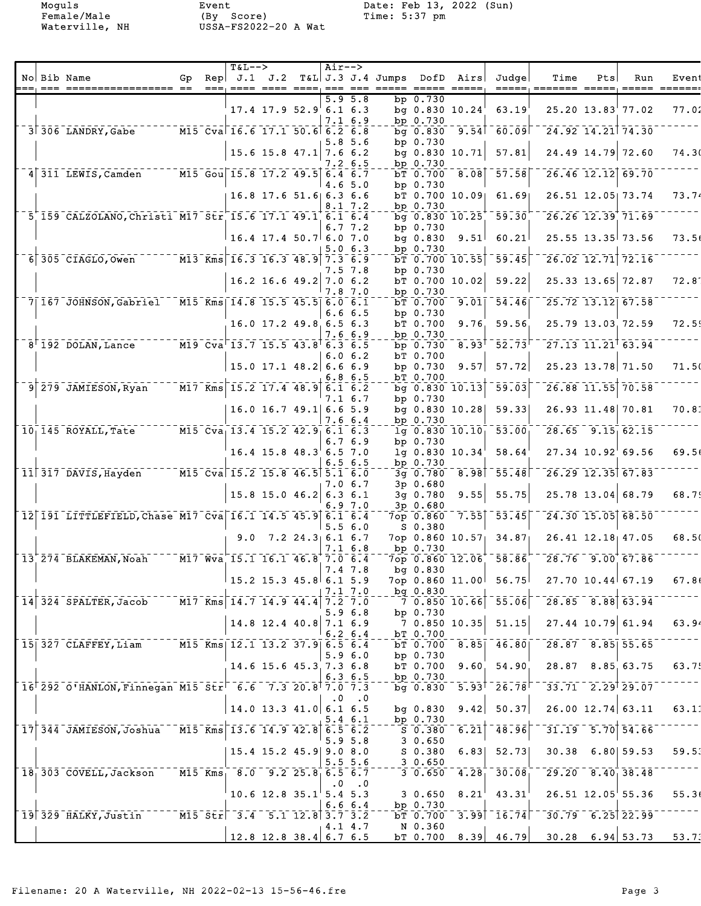Moguls Event Date: Feb 13, 2022 (Sun) Female/Male (By Score) Time: 5:37 pm Waterville, NH USSA-FS2022-20 A Wat

|  |                                                                                                             |     | $T&L-->$                                                                                                                                                                                       |                            |                    | Air-->    |                             |                        |                             |                                                            |                                                          |     |                         |       |
|--|-------------------------------------------------------------------------------------------------------------|-----|------------------------------------------------------------------------------------------------------------------------------------------------------------------------------------------------|----------------------------|--------------------|-----------|-----------------------------|------------------------|-----------------------------|------------------------------------------------------------|----------------------------------------------------------|-----|-------------------------|-------|
|  | No Bib Name                                                                                                 | Gp. |                                                                                                                                                                                                |                            |                    |           |                             |                        |                             | $\text{Rep}$ J.1 J.2 T&L J.3 J.4 Jumps DofD Airs Judge     | Time                                                     | Pts | Run                     | Event |
|  |                                                                                                             |     |                                                                                                                                                                                                |                            |                    |           | $5.9\;5.8$                  | $bp$ 0.730             |                             |                                                            |                                                          |     |                         |       |
|  |                                                                                                             |     |                                                                                                                                                                                                | $17.4$ 17.9 52.9 6.1 6.3   |                    |           | $7.1\ \ 6.9$                | bp $0.730$             | bg $0.830 10.24$            | 63.19                                                      |                                                          |     | 25.20 13.83 77.02       | 77.02 |
|  |                                                                                                             |     |                                                                                                                                                                                                |                            |                    |           |                             | bg 0.830               |                             | $-9.54$ <sup>-60.09</sup>                                  |                                                          |     | $24.92$ 14.21 74.30     |       |
|  |                                                                                                             |     |                                                                                                                                                                                                |                            |                    |           | 5.8 5.6                     | bp 0.730               |                             |                                                            |                                                          |     |                         |       |
|  |                                                                                                             |     |                                                                                                                                                                                                | $15.6$ 15.8 47.1 7.6 6.2   |                    |           | 7.2 6.5                     | bp 0.730               | bg $0.830 10.71$            | 57.81                                                      |                                                          |     | 24.49 14.79 72.60       | 74.30 |
|  | 4 311 LEWIS, Camden                                                                                         |     | $\overline{M15}$ Gou 15.8 17.2 49.5 6.4 6.7                                                                                                                                                    |                            |                    |           |                             | bT 0.700               |                             | $-8.08$ $-57.58$                                           |                                                          |     | 26.46 12.12 69.70       |       |
|  |                                                                                                             |     |                                                                                                                                                                                                | $16.8$ 17.6 51.6 6.3 6.6   |                    |           | 4.65.0                      | bp $0.730$             | bT 0.700 10.09              | 61.69                                                      |                                                          |     | 26.51 12.05 73.74       | 73.74 |
|  |                                                                                                             |     |                                                                                                                                                                                                |                            |                    |           | 8.1 7.2                     | bp 0.730               |                             |                                                            |                                                          |     |                         |       |
|  | 5 159 CALZOLANO, Christi M17 Str 15.6 17.1 49.1 6.1 6.4                                                     |     |                                                                                                                                                                                                |                            |                    |           |                             |                        | $\overline{bq}$ 0.830 10.25 | $-59.30$                                                   |                                                          |     | $26.26$ $12.39$ $71.69$ |       |
|  |                                                                                                             |     |                                                                                                                                                                                                | $16.4$ 17.4 50.7 6.0 7.0   |                    |           | $6.7 \t7.2$                 | bp 0.730<br>$bq$ 0.830 | 9.51                        | 60.21                                                      |                                                          |     | $25.55$ 13.35 73.56     | 73.56 |
|  |                                                                                                             |     |                                                                                                                                                                                                |                            |                    |           | 5.06.3                      | bp 0.730               |                             |                                                            |                                                          |     |                         |       |
|  | $6$ 305 CIAGLO, Owen                                                                                        |     | $\overline{M13}$ $\overline{Km}$ s 16.3 16.3 48.9 7.3 6.9                                                                                                                                      |                            |                    |           | 7.5 7.8                     | bp 0.730               | $bT$ 0.700 10.55            | 59.45                                                      |                                                          |     | $26.02$ 12.71 72.16     |       |
|  |                                                                                                             |     |                                                                                                                                                                                                | $16.2$ 16.6 49.2 7.0 6.2   |                    |           |                             |                        | $bT$ 0.700 10.02            | 59.22                                                      |                                                          |     | 25.33 13.65 72.87       | 72.81 |
|  | 7 167 JOHNSON, Gabriel M15 Kms 14.8 15.5 45.5 6.0 6.1                                                       |     |                                                                                                                                                                                                |                            |                    |           | 7.87.0                      | bp $0.730$<br>bT 0.700 |                             | $\overline{9.01}$ $\overline{54.46}$                       |                                                          |     | $25.72$ 13.12 67.58     |       |
|  |                                                                                                             |     |                                                                                                                                                                                                |                            |                    |           | 6.66.5                      | bp 0.730               |                             |                                                            |                                                          |     |                         |       |
|  |                                                                                                             |     |                                                                                                                                                                                                | $16.0$ 17.2 49.8 6.5 6.3   |                    |           |                             | bT 0.700               | 9.76                        | 59.56                                                      |                                                          |     | 25.79 13.03 72.59       | 72.59 |
|  | $8^{\dagger}$ 192 DOLAN, Lance                                                                              |     | $\overline{M19}$ Cva 13.7 15.5 43.8 6.3 6.5                                                                                                                                                    |                            |                    |           | 7.6 6.9                     | bp $0.730$<br>bp 0.730 | $8.93$ <sup>t</sup>         | $\overline{52.73}$                                         | $\overline{27.13}$ $\overline{11.21}$ $\overline{63.94}$ |     |                         |       |
|  |                                                                                                             |     |                                                                                                                                                                                                |                            |                    |           | 6.06.2                      | bT 0.700               |                             |                                                            |                                                          |     |                         |       |
|  |                                                                                                             |     |                                                                                                                                                                                                | $15.0$ 17.1 48.2 6.6 6.9   |                    |           | 6.86.5                      | bp $0.730$<br>bT 0.700 | 9.57                        | 57.72                                                      |                                                          |     | 25.23 13.78 71.50       | 71.50 |
|  | $9$ $279$ JAMIESON, Ryan                                                                                    |     | $\overline{M17}$ Kms 15.2 17.4 48.9 6.1 6.2                                                                                                                                                    |                            |                    |           |                             |                        | $bg$ 0.830 10.13            | 59.03                                                      |                                                          |     | 26.88 11.55 70.58       |       |
|  |                                                                                                             |     |                                                                                                                                                                                                | $16.0$ 16.7 49.1 6.6 5.9   |                    |           | 7.1 6.7                     | bp 0.730               | bg $0.830 10.28$            | 59.33                                                      |                                                          |     | 26.93 11.48 70.81       | 70.81 |
|  |                                                                                                             |     |                                                                                                                                                                                                |                            |                    |           | 7.6 6.4                     | bp 0.730               |                             |                                                            |                                                          |     |                         |       |
|  | $101145$ ROYALL, Tate                                                                                       |     | M15 Cva <sub>1</sub> 13.4 15.2 42.9 6.1 6.3                                                                                                                                                    |                            |                    |           | 6.76.9                      | bp 0.730               | $1g$ 0.830 $10.10$          | 53.00                                                      |                                                          |     | $28.65$ $9.15$ 62.15    |       |
|  |                                                                                                             |     |                                                                                                                                                                                                | $16.4$ 15.8 $48.3$ 6.5 7.0 |                    |           |                             |                        | $1q$ 0.830 10.34            | 58.64                                                      |                                                          |     | 27.34 10.92 69.56       | 69.56 |
|  |                                                                                                             |     |                                                                                                                                                                                                |                            |                    |           | 6.56.5                      | bp $0.730$             |                             |                                                            |                                                          |     |                         |       |
|  | $11$ 317 DAVIS, Hayden                                                                                      |     | $\overline{M15}$ $\overline{C}$ va 15.2 15.8 46.5 5.1 6.0                                                                                                                                      |                            |                    |           | 7.0 6.7                     | 3g 0.780<br>3p 0.680   |                             | $-8.98$ $-55.48$                                           |                                                          |     | $26.29$ 12.35 67.83     |       |
|  |                                                                                                             |     |                                                                                                                                                                                                | $15.8$ 15.0 46.2 6.3 6.1   |                    |           |                             | 3g 0.780               | 9.55                        | 55.75                                                      |                                                          |     | 25.78 13.04 68.79       | 68.79 |
|  | 12 191 LITTLEFIELD, Chase M17 Cva 16.1 14.5 45.9 6.1 6.4                                                    |     |                                                                                                                                                                                                |                            |                    |           | 6.9 7.0                     | 3p 0.680<br>7op 0.860  | 7.55                        | $-53.45$                                                   |                                                          |     | 24.30 15.05 68.50       |       |
|  |                                                                                                             |     |                                                                                                                                                                                                |                            |                    |           | 5.56.0                      | $S$ 0.380              |                             |                                                            |                                                          |     |                         |       |
|  |                                                                                                             |     | 9.0                                                                                                                                                                                            |                            | $7.2$ 24.3 6.1 6.7 |           | 7.16.8                      | bp $0.730$             |                             | 7op 0.860 10.57 34.87                                      |                                                          |     | $26.41$ $12.18$ $47.05$ | 68.50 |
|  | 13 274 BLAKEMAN, Noah M17 Wva 15.1 16.1 46.8 7.0 6.4                                                        |     |                                                                                                                                                                                                |                            |                    |           |                             |                        |                             | 7op 0.860 12.06 58.86                                      | 28.76 9.00 67.86                                         |     |                         |       |
|  |                                                                                                             |     | $15.2$ 15.3 45.8 6.1 5.9                                                                                                                                                                       |                            |                    |           | 7.4 7.8                     | bg 0.830               |                             | 7op 0.860 11.00 56.75                                      | 27.70 10.44 67.19                                        |     |                         | 67.86 |
|  |                                                                                                             |     |                                                                                                                                                                                                |                            |                    |           | 7.17.0                      | $bq$ 0.830             |                             |                                                            |                                                          |     |                         |       |
|  | $14$ 324 SPALTER, Jacob $14.7$ Kms 14.7 14.9 44.4 7.2 7.0                                                   |     |                                                                                                                                                                                                |                            |                    |           | 5.96.8                      | bp 0.730               |                             | $-7$ 0.850 10.66 55.06                                     | $728.85$ $8.88$ 63.94                                    |     |                         |       |
|  |                                                                                                             |     |                                                                                                                                                                                                | $14.8$ 12.4 40.8 7.1 6.9   |                    |           |                             |                        |                             |                                                            |                                                          |     | $27.44$ 10.79 61.94     | 63.94 |
|  | 15 327 CLAFFEY, Liam M15 Kms 12.1 13.2 37.9 6.5 6.4                                                         |     |                                                                                                                                                                                                |                            |                    |           | $6.2 \text{ } 6.4$          | bT 0.700               |                             | $bT$ 0.700 8.85 46.80                                      | $28.87$ $8.85$ 55.65                                     |     |                         |       |
|  |                                                                                                             |     |                                                                                                                                                                                                |                            |                    |           | 5.9 6.0                     | bp 0.730               |                             |                                                            |                                                          |     |                         |       |
|  |                                                                                                             |     |                                                                                                                                                                                                | 14.6 15.6 45.3 7.3 6.8     |                    |           |                             | bT 0.700<br>bp $0.730$ |                             | 9.60, 54.90                                                |                                                          |     | 28.87 8.85 63.75        | 63.75 |
|  | $16^{+}$ 292 O'HANLON, Finnegan M15 Str <sup><math>-</math></sup> 6.6 $-$ 7.3 20.8 <sup>†</sup> 7.0 $-$ 7.3 |     |                                                                                                                                                                                                |                            |                    |           | 6.36.5                      |                        |                             | bg $0.830 - 5.93^{\dagger} - 26.78^{\dagger}$              | $\overline{33.71}$ $\overline{2.29}$ $\overline{29.07}$  |     |                         |       |
|  |                                                                                                             |     |                                                                                                                                                                                                |                            |                    | $\cdot$ 0 | $\cdot$ .0                  |                        |                             |                                                            |                                                          |     |                         |       |
|  |                                                                                                             |     |                                                                                                                                                                                                | $14.0$ 13.3 41.0 6.1 6.5   |                    |           | $5.4\;6.1$                  | bg 0.830<br>bp 0.730   |                             | $9.42$ 50.37                                               |                                                          |     | $26.00$ 12.74 63.11     | 63.11 |
|  | $17$ 344 JAMIESON, Joshua M15 Kms 13.6 14.9 42.8 6.5 6.2                                                    |     |                                                                                                                                                                                                |                            |                    |           |                             | S 0.380                |                             | $6.21$ <sup>-48.96</sup>                                   |                                                          |     | $-31.19 - 5.70$ 54.66   |       |
|  |                                                                                                             |     |                                                                                                                                                                                                | $15.4$ 15.2 45.9 9.0 8.0   |                    |           | 5.95.8                      | 30.650<br>S 0.380      |                             | $6.83$ $52.73$                                             |                                                          |     | $30.38$ 6.80 59.53      | 59.53 |
|  |                                                                                                             |     |                                                                                                                                                                                                |                            |                    |           | 5.55.6                      | 30.650                 |                             |                                                            |                                                          |     |                         |       |
|  | $18 \overline{\smash{\big)}\ 303}$ $\overline{\text{COVELL}}$ , Jackson                                     |     | $M15$ Kms 8.0 9.2 25.8 6.5 6.7                                                                                                                                                                 |                            |                    |           | $\cdot$ 0 $\cdot$ 0 $\cdot$ |                        |                             | $3\overline{0.650}$ $4.28\overline{1}$ $30.08\overline{1}$ | $\overline{29.20}$ $\overline{8.40}$ $\overline{38.48}$  |     |                         |       |
|  |                                                                                                             |     |                                                                                                                                                                                                | $10.6$ 12.8 35.1 5.4 5.3   |                    |           |                             | 30.650                 |                             | $8.21^{1}$ 43.31                                           |                                                          |     | $26.51$ $12.05$ 55.36   | 55.36 |
|  | $19 329$ HALKY, Justin                                                                                      |     | $\overline{M15}$ $\overline{51}$ $\overline{51}$ $\overline{7}$ $\overline{31}$ $\overline{4}$ $\overline{51}$ $\overline{12.8}$ $\overline{31}$ $\overline{7}$ $\overline{31}$ $\overline{2}$ |                            |                    |           | 6.66.4                      | bp 0.730<br>bT 0.700   |                             | $3.99$ <sup>-16.74</sup>                                   | $-30.79 - 6.25$ 22.99                                    |     |                         |       |
|  |                                                                                                             |     |                                                                                                                                                                                                |                            |                    |           | 4.1 4.7                     | N 0.360                |                             |                                                            |                                                          |     |                         |       |
|  |                                                                                                             |     |                                                                                                                                                                                                | $12.8$ 12.8 38.4 6.7 6.5   |                    |           |                             |                        |                             |                                                            | b $\sqrt{0.700}$ 8.39 46.79 30.28 6.94 53.73             |     |                         | 53.73 |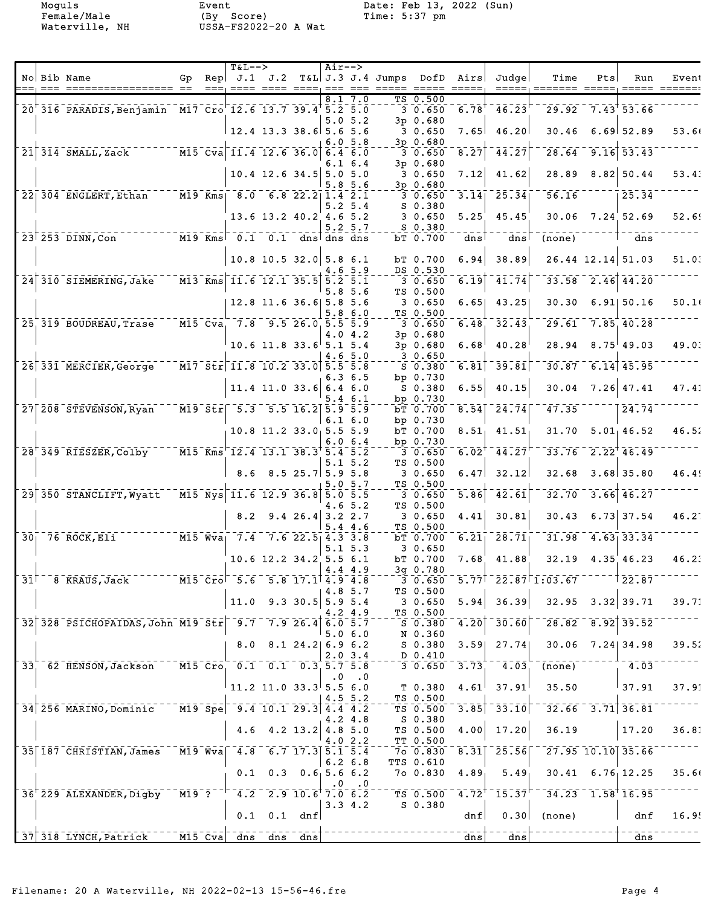Female/Male (By Score) Time: 5:37 pm Waterville, NH USSA-FS2022-20 A Wat

Moguls Event Date: Feb 13, 2022 (Sun)

|                 |                                                                                                                                                   |    |                                    | $T&L--$                                                                                                                                                  |                                                                      |                    | $Air--$   |              |                                             |                        |                     |                                                                    |                                                           |            |                                    |       |
|-----------------|---------------------------------------------------------------------------------------------------------------------------------------------------|----|------------------------------------|----------------------------------------------------------------------------------------------------------------------------------------------------------|----------------------------------------------------------------------|--------------------|-----------|--------------|---------------------------------------------|------------------------|---------------------|--------------------------------------------------------------------|-----------------------------------------------------------|------------|------------------------------------|-------|
|                 | No Bib Name                                                                                                                                       | Gp |                                    |                                                                                                                                                          |                                                                      |                    |           |              | Rep $J.1$ $J.2$ T&L J.3 J.4 Jumps DofD Airs | ===== ===== =====      |                     | Judqel                                                             | Time<br>=====; ======= ===                                | <b>Pts</b> | Run                                | Event |
|                 |                                                                                                                                                   |    |                                    |                                                                                                                                                          |                                                                      |                    |           | 8.17.0       |                                             | TS 0.500               |                     |                                                                    |                                                           |            |                                    |       |
|                 | 20 316 PARADIS, Benjamin M17 Cro 12.6 13.7 39.4 5.2 5.0                                                                                           |    |                                    |                                                                                                                                                          |                                                                      |                    |           |              |                                             | $3\overline{0.650}$    | 6.78                | 46.23                                                              | $29.92 \quad 7.43 \quad 53.66$                            |            |                                    |       |
|                 |                                                                                                                                                   |    |                                    |                                                                                                                                                          |                                                                      |                    |           | 5.05.2       |                                             | 3p 0.680               |                     |                                                                    |                                                           |            |                                    |       |
|                 |                                                                                                                                                   |    |                                    | $12.4$ 13.3 38.6 5.6 5.6                                                                                                                                 |                                                                      |                    |           |              |                                             | 30.650                 | 7.65                | 46.20                                                              | 30.46                                                     |            | $6.69$ 52.89                       | 53.66 |
|                 | 21 314 SMALL, Zack M15 Cva 11.4 12.6 36.0 6.4 6.0                                                                                                 |    |                                    |                                                                                                                                                          |                                                                      |                    |           | 6.05.8       |                                             | $3p$ 0.680             |                     |                                                                    |                                                           |            | $28.64$ 9.16 53.43                 |       |
|                 |                                                                                                                                                   |    |                                    |                                                                                                                                                          |                                                                      |                    |           | 6.1 6.4      |                                             | 30.650<br>$3p$ 0.680   | 8.27                | 44.27                                                              |                                                           |            |                                    |       |
|                 |                                                                                                                                                   |    |                                    |                                                                                                                                                          | $10.4$ 12.6 34.5 5.0 5.0                                             |                    |           |              |                                             | 30.650                 | 7.12                | 41.62                                                              | 28.89                                                     |            | $8.82$ 50.44                       | 53.43 |
|                 |                                                                                                                                                   |    |                                    |                                                                                                                                                          |                                                                      |                    |           | 5.85.6       |                                             | 3p 0.680               |                     |                                                                    |                                                           |            |                                    |       |
|                 | $22$ $304$ ENGLERT, Ethan                                                                                                                         |    |                                    | $-M19$ Kms   8.0 6.8 22.2 1.4 2.1                                                                                                                        |                                                                      |                    |           |              |                                             | 30.650                 |                     | $3.14$ <sup>-25.34</sup>                                           | 56.16                                                     |            | 25.34                              |       |
|                 |                                                                                                                                                   |    |                                    |                                                                                                                                                          |                                                                      |                    |           | $5.2 \; 5.4$ |                                             | $S_0.380$              |                     |                                                                    |                                                           |            |                                    |       |
|                 |                                                                                                                                                   |    |                                    |                                                                                                                                                          | $13.6$ $13.2$ $40.2$ $4.6$ $5.2$                                     |                    |           | $5.2 \, 5.7$ |                                             | 30.650<br>$S$ 0.380    | 5.25                | 45.45                                                              |                                                           |            | $30.06$ $7.24$ 52.69               | 52.69 |
|                 | $\overline{23}$ $\overline{253}$ $\overline{D}$ INN, $\overline{Con}$                                                                             |    |                                    | $\overline{M19}$ Kms $\overline{0.1}$ 0.1 dns <sup>1</sup> dns dns                                                                                       |                                                                      |                    |           |              |                                             | bT 0.700               | dns                 | $\overline{dns}$                                                   | (none)                                                    |            | $\frac{1}{\text{dns}}$             |       |
|                 |                                                                                                                                                   |    |                                    |                                                                                                                                                          |                                                                      |                    |           |              |                                             |                        |                     |                                                                    |                                                           |            |                                    |       |
|                 |                                                                                                                                                   |    |                                    |                                                                                                                                                          | $10.8$ 10.5 32.0 5.8 6.1                                             |                    |           |              |                                             | bT 0.700               | 6.94                | 38.89                                                              |                                                           |            | $26.44$ 12.14 51.03                | 51.03 |
|                 |                                                                                                                                                   |    |                                    |                                                                                                                                                          |                                                                      |                    |           | 4.6 5.9      |                                             | DS 0.530               |                     |                                                                    |                                                           |            |                                    |       |
|                 | 24 310 SIEMERING, Jake                                                                                                                            |    |                                    | $\overline{M13}$ Kms 11.6 12.1 35.5 5.2 5.1                                                                                                              |                                                                      |                    |           | 5.85.6       |                                             | 3 0.650<br>TS 0.500    | 6.19                | $-41.74$                                                           |                                                           |            | $33.58$ $2.46$ $44.20$             |       |
|                 |                                                                                                                                                   |    |                                    |                                                                                                                                                          | 12.8 11.6 36.6 5.8 5.6                                               |                    |           |              |                                             | 30.650                 | 6.65                | 43.25                                                              |                                                           |            | $30.30$ 6.91 $50.16$               | 50.1  |
|                 |                                                                                                                                                   |    |                                    |                                                                                                                                                          |                                                                      |                    | 5.8       | 6.0          |                                             | TS 0.500               |                     |                                                                    |                                                           |            |                                    |       |
|                 | 25, 319 BOUDREAU, Trase                                                                                                                           |    |                                    | $M15$ Cva, 7.8 9.5 26.0 5.5 5.9                                                                                                                          |                                                                      |                    |           |              |                                             | 30.650                 | 6.48                | 32.43                                                              | 29.61                                                     |            | 7.85, 40.28                        |       |
|                 |                                                                                                                                                   |    |                                    |                                                                                                                                                          |                                                                      |                    |           | 4.0 4.2      |                                             | 3p 0.680               |                     |                                                                    |                                                           |            |                                    |       |
|                 |                                                                                                                                                   |    |                                    |                                                                                                                                                          | $10.6$ 11.8 33.6 5.1 5.4                                             |                    |           | 4.65.0       |                                             | 3p 0.680<br>30.650     | $6.68^{\circ}$      | 40.28                                                              |                                                           |            | $28.94$ $8.75$ 49.03               | 49.03 |
|                 | 26 331 MERCIER, George                                                                                                                            |    |                                    | $\sqrt{M17 \text{ Str}}$ 11.8 10.2 33.0 5.5 5.8                                                                                                          |                                                                      |                    |           |              |                                             | $S$ 0.380              |                     | $6.81$ <sup>39.81</sup>                                            |                                                           |            | $30.87$ 6.14 45.95                 |       |
|                 |                                                                                                                                                   |    |                                    |                                                                                                                                                          |                                                                      |                    |           | $6.3\;6.5$   |                                             | bp 0.730               |                     |                                                                    |                                                           |            |                                    |       |
|                 |                                                                                                                                                   |    |                                    |                                                                                                                                                          | $11.4$ 11.0 33.6 6.4 6.0                                             |                    |           |              |                                             | $S$ 0.380              | 6.55                | 40.15                                                              | 30.04                                                     |            | $7.26$ 47.41                       | 47.41 |
|                 |                                                                                                                                                   |    |                                    |                                                                                                                                                          |                                                                      |                    |           | 5.4 6.1      |                                             | bp 0.730               |                     |                                                                    |                                                           |            |                                    |       |
|                 | 27 208 STEVENSON, Ryan                                                                                                                            |    |                                    | M19 Str 5.3 5.5 16.2 5.9 5.9                                                                                                                             |                                                                      |                    |           |              |                                             | bT 0.700               | 8.54                | 24.74                                                              | 47.35                                                     |            | 24.74                              |       |
|                 |                                                                                                                                                   |    |                                    |                                                                                                                                                          | $10.8$ 11.2 33.0 5.5 5.9                                             |                    |           | $6.1\,6.0$   |                                             | bp $0.730$<br>bT 0.700 |                     | $8.51$ , $41.51$                                                   |                                                           |            | $31.70$ $5.01$ $46.52$             | 46.52 |
|                 |                                                                                                                                                   |    |                                    |                                                                                                                                                          |                                                                      |                    |           | 6.06.4       |                                             | bp $0.730$             |                     |                                                                    |                                                           |            |                                    |       |
|                 | $28$ <sup><math>-</math></sup> $349$ $RIESZER$ , $Co1by$                                                                                          |    |                                    | $\overline{M15}$ Kms $\overline{12.4}$ 13.1 38.3 5.4 5.2                                                                                                 |                                                                      |                    |           |              |                                             | 30.650                 | $6.02$ <sup>T</sup> | $\overline{44.27}$                                                 |                                                           |            | $-33.76 - 2.22$ <sup>+</sup> 46.49 |       |
|                 |                                                                                                                                                   |    |                                    |                                                                                                                                                          |                                                                      |                    |           | $5.1 \ 5.2$  |                                             | TS 0.500               |                     |                                                                    |                                                           |            |                                    |       |
|                 |                                                                                                                                                   |    |                                    | 8.6                                                                                                                                                      |                                                                      | $8.5$ 25.7 5.9 5.8 |           |              |                                             | 30.650                 | 6.47                | 32.12                                                              | 32.68                                                     |            | $3.68$ 35.80                       | 46.49 |
|                 | 29 350 STANCLIFT, Wyatt                                                                                                                           |    |                                    | $\overline{M15}$ $\overline{N}$ ys 11.6 12.9 36.8 5.0 5.5                                                                                                |                                                                      |                    |           | 5.05.7       |                                             | TS 0.500<br>30.650     | 5.86                | $\overline{4}\overline{2}\cdot\overline{6}\overline{1}$            | 32.70                                                     |            | $3.66$ 46.27                       |       |
|                 |                                                                                                                                                   |    |                                    |                                                                                                                                                          |                                                                      |                    |           | 4.65.2       |                                             | TS 0.500               |                     |                                                                    |                                                           |            |                                    |       |
|                 |                                                                                                                                                   |    |                                    | 8.2                                                                                                                                                      |                                                                      | 9.426.43.22.7      |           |              |                                             | 30.650                 | 4.41                | 30.81                                                              | 30.43                                                     |            | $6.73$ 37.54                       | 46.21 |
|                 |                                                                                                                                                   |    |                                    |                                                                                                                                                          |                                                                      |                    |           | 5.44.6       |                                             | TS 0.500               |                     |                                                                    |                                                           |            |                                    |       |
|                 | $\overline{M15}$ $\overline{W}a$ $\overline{7.4}$ $\overline{7.6}$ $\overline{22.5}$ $\overline{4.3}$ $\overline{3.8}$<br>$30^\circ$ 76 ROCK, EII |    |                                    |                                                                                                                                                          |                                                                      |                    |           | $5.1 \ 5.3$  |                                             | bT 0.700<br>30.650     | 6.21                | $\overline{28.71}$                                                 |                                                           |            | $31.98$ 4.63 33.34                 |       |
|                 |                                                                                                                                                   |    |                                    |                                                                                                                                                          | $10.6$ 12.2 34.2 5.5 6.1                                             |                    |           |              |                                             | bT 0.700               | $7.68^{\circ}$      | 41.88                                                              |                                                           |            | $32.19$ 4.35 46.23                 | 46.23 |
|                 |                                                                                                                                                   |    |                                    |                                                                                                                                                          |                                                                      |                    |           | 4.4 4.9      |                                             | 3q 0.780               |                     |                                                                    |                                                           |            |                                    |       |
| 31 <sup>1</sup> | 8 KRAUS, Jack                                                                                                                                     |    |                                    | M15 Cro 5.6 5.8 17.1 4.9 4.8                                                                                                                             |                                                                      |                    |           |              |                                             | 30.650                 |                     |                                                                    | $5.77$ <sup><math>-22.87</math><math>1.03.67</math></sup> |            | 22.87                              |       |
|                 |                                                                                                                                                   |    |                                    |                                                                                                                                                          |                                                                      |                    |           | 4.8 5.7      |                                             | TS 0.500               |                     |                                                                    |                                                           |            |                                    |       |
|                 |                                                                                                                                                   |    |                                    |                                                                                                                                                          | 11.0 $9.3$ 30.5 5.9 5.4                                              |                    |           | 4.2 4.9      |                                             | 30.650<br>TS 0.500     | 5.94                | 36.39                                                              |                                                           |            | $32.95$ $3.32$ 39.71               | 39.71 |
|                 | 32 328 PSICHOPAIDAS, John M19 Str 9.7 7.9 26.4 6.0 5.7                                                                                            |    |                                    |                                                                                                                                                          |                                                                      |                    |           |              |                                             | S 0.380                |                     | $\overline{4.20}$ $\overline{0}$ $\overline{30.60}$ $\overline{0}$ |                                                           |            | $28.82$ $8.92$ 39.52               |       |
|                 |                                                                                                                                                   |    |                                    |                                                                                                                                                          |                                                                      |                    |           | 5.06.0       |                                             | N 0.360                |                     |                                                                    |                                                           |            |                                    |       |
|                 |                                                                                                                                                   |    |                                    |                                                                                                                                                          | 8.0 8.1 24.2 6.9 6.2                                                 |                    |           |              |                                             | $S$ 0.380              |                     | $3.59$ 27.74                                                       |                                                           |            | $30.06$ $7.24$ 34.98               | 39.52 |
|                 |                                                                                                                                                   |    |                                    |                                                                                                                                                          |                                                                      |                    |           | 2.03.4       |                                             | D 0.410                |                     |                                                                    |                                                           |            |                                    |       |
|                 | 33, 62 HENSON, Jackson                                                                                                                            |    |                                    | $\overline{M15}$ $\overline{C}$ ro, 0.1 0.1 0.3 5.7 5.8                                                                                                  |                                                                      |                    | $\cdot$ 0 | $\cdot$ .0   |                                             | $3 \ 0.650$            | 3.73                | 4.03                                                               | (none)                                                    |            | $-4.03$                            |       |
|                 |                                                                                                                                                   |    |                                    |                                                                                                                                                          | 11.2 11.0 33.3 5.5 6.0                                               |                    |           |              |                                             | T 0.380                | 4.61                | 37.91                                                              | 35.50                                                     |            | $\frac{1}{37.91}$                  | 37.91 |
|                 |                                                                                                                                                   |    |                                    |                                                                                                                                                          |                                                                      |                    |           | $4.5 \t5.2$  |                                             | TS 0.500               |                     |                                                                    |                                                           |            |                                    |       |
|                 | 34 256 MARINO, Dominic                                                                                                                            |    |                                    | $\sqrt{M19}$ Spe $\sqrt{9.4}$ 10.1 29.3 4.4 4.2                                                                                                          |                                                                      |                    |           |              |                                             | TS 0.500               |                     | $3.\overline{85}$ $\overline{33.10}$                               | $-32.66 - 3.71$ 36.81                                     |            |                                    |       |
|                 |                                                                                                                                                   |    |                                    |                                                                                                                                                          | 4.6 4.2 13.2 4.8 5.0                                                 |                    |           | 4.2 4.8      |                                             | $S$ 0.380<br>TS 0.500  |                     | $4.00$ 17.20                                                       | 36.19                                                     |            | 17.20                              | 36.81 |
|                 |                                                                                                                                                   |    |                                    |                                                                                                                                                          |                                                                      |                    |           | 4.02.2       |                                             | TT 0.500               |                     |                                                                    |                                                           |            |                                    |       |
|                 | 35 187 CHRISTIAN, James                                                                                                                           |    |                                    | $\overline{M19}$ Wva $\overline{4.8}$ $\overline{6.7}$ $\overline{17.3}$ $\overline{5.1}$ $\overline{5.4}$                                               |                                                                      |                    |           |              |                                             | 7o 0.830               |                     | $\overline{8.31}$ $\overline{25.56}$                               |                                                           |            | $\sqrt{27.95}$ 10.10 35.66         |       |
|                 |                                                                                                                                                   |    |                                    |                                                                                                                                                          |                                                                      |                    |           | $6.2\;6.8$   |                                             | TTS 0.610              |                     |                                                                    |                                                           |            |                                    |       |
|                 |                                                                                                                                                   |    |                                    |                                                                                                                                                          | $0.1$ 0.3 0.6 5.6 6.2                                                |                    |           |              |                                             | 7o 0.830               | 4.89                | $5.49_1$                                                           |                                                           |            | $30.41 \quad 6.76, 12.25$          | 35.66 |
|                 |                                                                                                                                                   |    |                                    |                                                                                                                                                          |                                                                      |                    | $\cdot$ 0 | $\cdot$ . 0  |                                             |                        |                     |                                                                    |                                                           |            |                                    |       |
|                 | 36 <sup>+</sup> 229 ALEXANDER, Digby                                                                                                              |    |                                    | $\overline{0.6}$ $\overline{0.7}$ $\overline{0.7}$ $\overline{1.2}$ $\overline{0.2}$ $\overline{0.8}$ $\overline{0.6}$ $\overline{0.0}$ $\overline{0.2}$ |                                                                      |                    |           | 3.34.2       |                                             | TS 0.500<br>$S$ 0.380  |                     | $-4.72$ <sup>+</sup> $-15.37$ <sup>-</sup>                         | $34.23$ $1.58$ <sup>†</sup> 16.95                         |            |                                    |       |
|                 |                                                                                                                                                   |    |                                    |                                                                                                                                                          | $0.1$ 0.1 dnf                                                        |                    |           |              |                                             |                        | dnf                 |                                                                    | $0.30$ (none)                                             |            | dnf                                | 16.95 |
|                 |                                                                                                                                                   |    |                                    |                                                                                                                                                          |                                                                      |                    |           |              |                                             |                        |                     |                                                                    |                                                           |            |                                    |       |
|                 | $\sqrt{37}$ $\sqrt{318}$ LYNCH, Patrick                                                                                                           |    | $\overline{M15}$ $\overline{C}$ va |                                                                                                                                                          | $\frac{1}{\text{dns}}$ $\frac{1}{\text{dns}}$ $\frac{1}{\text{dns}}$ |                    |           |              |                                             |                        | $\overline{dns}$    | $\overline{dns}$                                                   |                                                           |            | $\bar{d}$ ns                       |       |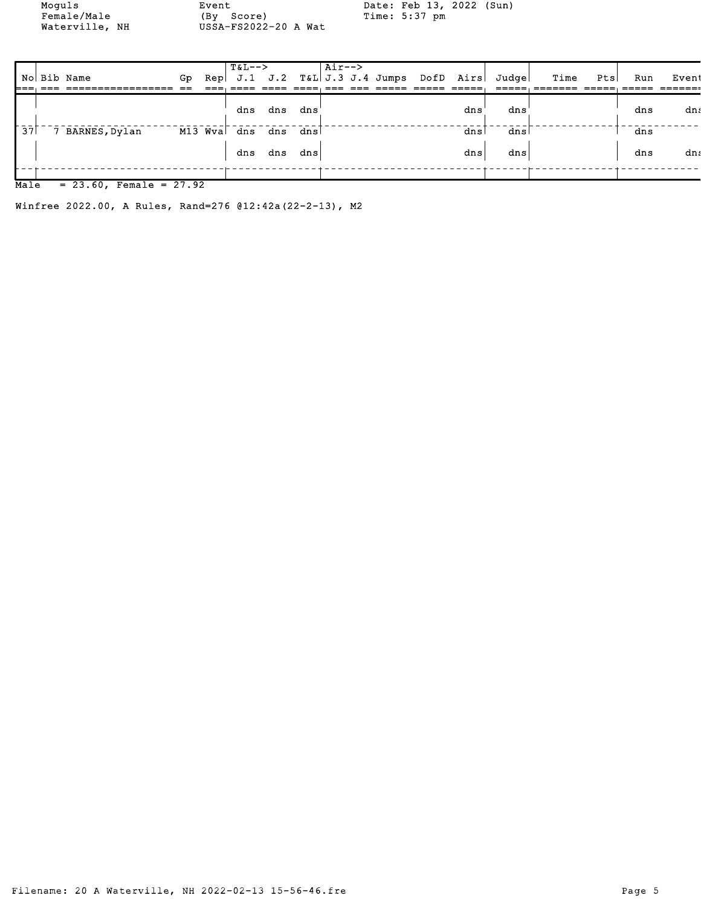Moguls Event Date: Feb 13, 2022 (Sun)<br>
Female/Male (By Score) Time: 5:37 pm Female/Male (By Score) Time: 5:37 pm Waterville, NH USSA-FS2022-20 A Wat

|                  |                            |    |          | $T&L-->$ |     |      | $\overline{\text{Air--}}$ |                                      |     |                 |      |     |     |       |
|------------------|----------------------------|----|----------|----------|-----|------|---------------------------|--------------------------------------|-----|-----------------|------|-----|-----|-------|
|                  | No Bib Name                | Gp | Repl     |          |     |      |                           | $J.1$ $J.2$ $T\&L$ $J.3$ $J.4$ Jumps |     | DofD Airs Judge | Time | Pts | Run | Event |
|                  |                            |    |          |          |     |      |                           |                                      |     |                 |      |     |     |       |
|                  |                            |    |          |          |     |      |                           |                                      |     |                 |      |     |     |       |
|                  |                            |    |          | dns      | dns | dns  |                           |                                      | dns | dns             |      |     | dns | dns   |
|                  |                            |    |          |          |     |      |                           |                                      |     |                 |      |     |     |       |
| $\bar{3}\bar{7}$ | 7 BARNES, Dylan            |    | M13 Wval | dns      | dns | dnsl |                           |                                      | dns | dns             |      |     | dns |       |
|                  |                            |    |          |          |     |      |                           |                                      |     |                 |      |     |     |       |
|                  |                            |    |          | dns      | dns | dns  |                           |                                      | dns | dns             |      |     | dns | dns   |
|                  |                            |    |          |          |     |      |                           |                                      |     |                 |      |     |     |       |
|                  |                            |    |          |          |     |      |                           |                                      |     |                 |      |     |     |       |
| Male             | $= 23.60$ , Female = 27.92 |    |          |          |     |      |                           |                                      |     |                 |      |     |     |       |

Winfree 2022.00, A Rules, Rand=276 @12:42a(22-2-13), M2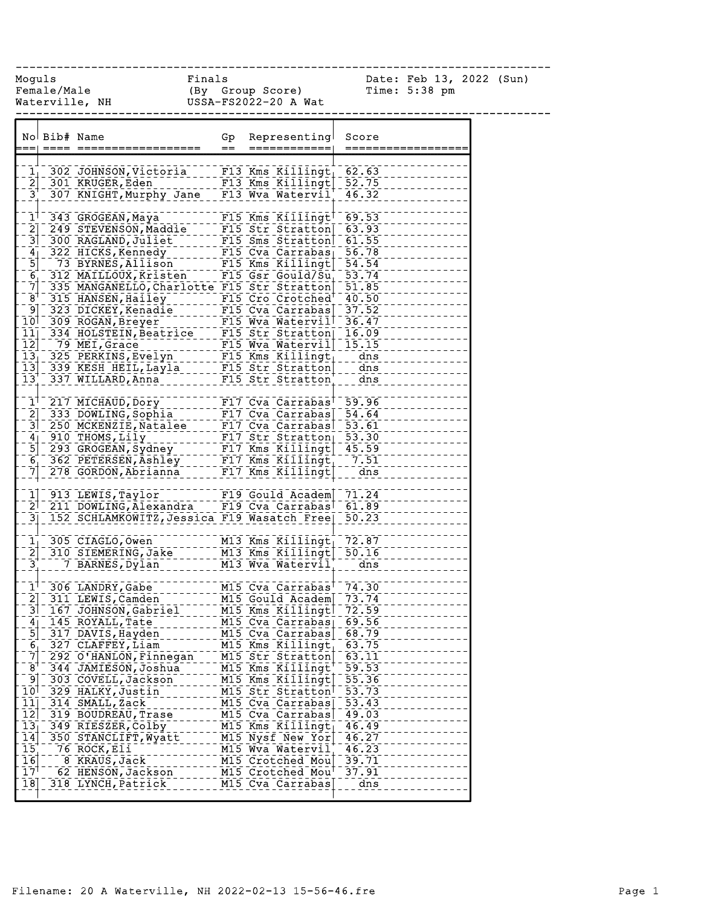------------------------------------------------------------------------------

Moguls Finals Date: Feb 13, 2022 (Sun) Female/Male (By Group Score) Time: 5:38 pm Waterville, NH USSA-FS2022-20 A Wat

|                            | No Bib# Name |                                                                                                                                                                                                                                                  | Gp<br>$=$ | Representing<br>============                      | Score<br>===========   |
|----------------------------|--------------|--------------------------------------------------------------------------------------------------------------------------------------------------------------------------------------------------------------------------------------------------|-----------|---------------------------------------------------|------------------------|
|                            |              |                                                                                                                                                                                                                                                  |           |                                                   |                        |
|                            |              |                                                                                                                                                                                                                                                  |           |                                                   |                        |
|                            |              | 302 JOHNSON, Victoria F13 Kms Killingt 62.63<br>2 301 KRUGER, Eden F13 Kms Killingt 52.75                                                                                                                                                        |           |                                                   |                        |
| $3^{+}$                    |              | 307 KNIGHT, Murphy Jane                                                                                                                                                                                                                          |           | F13 Wva Watervil                                  | 46.32                  |
|                            |              |                                                                                                                                                                                                                                                  |           |                                                   |                        |
|                            |              | 1 <sup>1</sup> 343 GROGEAN, Maya                                                                                                                                                                                                                 |           | F15 Kms Killingt <sup>1</sup> 69.53               |                        |
|                            |              | 2] 249 STEVENSON, Maddie                                                                                                                                                                                                                         |           | F15 Str Stratton                                  | 63.93                  |
| $\overline{3}$             |              | 300 RAGLAND, Juliet F15 Sms Stratton                                                                                                                                                                                                             |           |                                                   | 61.55                  |
|                            |              |                                                                                                                                                                                                                                                  |           |                                                   | 56.78                  |
|                            |              |                                                                                                                                                                                                                                                  |           |                                                   | 54.54                  |
|                            |              | 6 312 MAILLOUX, Kristen F15 Gsr Gould/Sut<br>7 335 MANGANELLO, Charlotte F15 Str Stratton                                                                                                                                                        |           |                                                   | 53.74                  |
|                            |              | 335 MANGANELLO, Charlotte F15 Str Stratton                                                                                                                                                                                                       |           |                                                   | 51.85                  |
| $\frac{1}{8}$ + - $\cdot$  |              | 315 HANSEN, Hailey                                                                                                                                                                                                                               |           | The Cro Crotched                                  | 40.50                  |
|                            |              |                                                                                                                                                                                                                                                  |           |                                                   |                        |
|                            |              |                                                                                                                                                                                                                                                  |           |                                                   |                        |
|                            |              | 323 DICKEY, Kenadie<br>10 309 ROGAN, Breyer<br>11 334 HOLSTEIN, Beatrice<br>12 79 MEI, Grace<br>13 325 PERKINS, Evelyn<br>13 325 PERKINS, Evelyn<br>13 325 PERKINS, Evelyn<br>13 325 PERKINS, Evelyn<br>13 325 PERKINS, Evelyn<br>13 325 PERKINS |           |                                                   |                        |
|                            |              |                                                                                                                                                                                                                                                  |           |                                                   |                        |
|                            |              |                                                                                                                                                                                                                                                  |           |                                                   |                        |
|                            |              |                                                                                                                                                                                                                                                  |           |                                                   |                        |
| $\overline{13}$            |              | 337 WILLARD, Anna F15 Str Stratton                                                                                                                                                                                                               |           |                                                   | $= -$ dns              |
|                            |              |                                                                                                                                                                                                                                                  |           | $F17$ Cva Carrabas <sup><math>-59.96</math></sup> |                        |
|                            |              | $1^{\dagger}$ 217 MICHAUD, Dory                                                                                                                                                                                                                  |           |                                                   |                        |
|                            |              | 2 333 DOWLING, Sophia                                                                                                                                                                                                                            |           | $F17$ Cva Carrabas                                | 54.64                  |
|                            |              | 3 250 MCKENZIE, Natalee                                                                                                                                                                                                                          |           | F17 Cva Carrabas 53.61                            |                        |
|                            |              | $4$ 910 THOMS, Lily                                                                                                                                                                                                                              |           | $FI7$ Str Stratton $53.30$                        |                        |
|                            |              | 5 293 GROGEAN, Sydney ______ F17 Kms Killingt 45.59                                                                                                                                                                                              |           |                                                   |                        |
|                            |              | 6 362 PETERSEN, Ashley [17] Kms Killingt [17] 51<br>7 278 GORDON, Abrianna [17] Kms Killingt [18] dns                                                                                                                                            |           |                                                   |                        |
|                            |              |                                                                                                                                                                                                                                                  |           |                                                   |                        |
|                            |              | 1 913 LEWIS, Taylor                                                                                                                                                                                                                              |           | F19 Gould Academ 71.24                            |                        |
|                            |              | 2 <sup>1-</sup> 211 DOWLING, Alexandra                                                                                                                                                                                                           |           | F19 Cva Carrabas                                  | $-61.89$               |
|                            |              | 3 152 SCHLAMKOWITZ, Jessica F19 Wasatch Free                                                                                                                                                                                                     |           |                                                   | $\overline{50.23}$     |
|                            |              |                                                                                                                                                                                                                                                  |           |                                                   |                        |
|                            |              | $11$ 305 CIAGLO, Owen                                                                                                                                                                                                                            |           | M13 Kms Killingt                                  | 72.87                  |
| $\overline{2}$             |              | 310 SIEMERING, Jake                                                                                                                                                                                                                              |           | M13 Kms Killingt                                  | 50.16                  |
| $3^{+}$                    |              | 7 BARNES, Dylan                                                                                                                                                                                                                                  |           | M13 Wva Watervil                                  | $\frac{1}{\text{dns}}$ |
|                            |              |                                                                                                                                                                                                                                                  |           | M15 Cva Carrabas <sup>†</sup> 74.30               |                        |
|                            |              | $1^{1-306}$ LANDRY, Gabe<br>E 200 LANDRY, Gabe                                                                                                                                                                                                   |           | M15 Gould Academ 73.74                            |                        |
|                            |              | 167 JOHNSON, Gabriel                                                                                                                                                                                                                             |           | M15 Kms Killingt                                  | 72.59                  |
|                            |              | 4 145 ROYALL, Tate                                                                                                                                                                                                                               |           | M15 Cva Carrabas 69.56                            |                        |
| $\overline{5}$             |              | 317 DAVIS, Hayden                                                                                                                                                                                                                                |           | M15 Cva Carrabas                                  | 68.79                  |
|                            |              | 327 CLAFFEY, Liam                                                                                                                                                                                                                                |           | M15 Kms Killingt                                  | 63.75                  |
| 6,<br>$\overline{7}$       |              | 292 O'HANLON, Finnegan                                                                                                                                                                                                                           |           | M15 Str Stratton                                  | 63.11                  |
| $B^{\dagger}$              |              | 344 JAMIESON, Joshua                                                                                                                                                                                                                             |           | M15 Kms Killingt <sup>T</sup>                     | 59.53                  |
| ⊺و⊺                        |              | 303 COVELL, Jackson                                                                                                                                                                                                                              |           | M15 Kms Killingt                                  | 55.36                  |
| 10 <sup>1</sup>            |              | 329 HALKY, Justin                                                                                                                                                                                                                                |           | M15 Str Stratton                                  | 53.73                  |
| 11                         |              | 314 SMALL, Zack                                                                                                                                                                                                                                  |           | M15 Cva Carrabas                                  | 53.43                  |
| $\overline{12}$            |              | 319 BOUDREAU, Trase                                                                                                                                                                                                                              |           | M15 Cva Carrabas                                  | 49.03                  |
| $\overline{13}$            |              | 349 RIESZER, Colby                                                                                                                                                                                                                               |           | M15 Kms Killingt                                  | 46.49                  |
| $\overline{1}\overline{4}$ |              | 350 STANCLIFT, Wyatt                                                                                                                                                                                                                             |           | M15 Nysf New Yor                                  | 46.27                  |
| $\overline{15}$            |              | 76 ROCK, Eli                                                                                                                                                                                                                                     |           | M15 Wva Watervil                                  | 46.23                  |
| $\overline{16}$            |              | 8 KRAUS, Jack                                                                                                                                                                                                                                    |           | M15 Crotched Mou                                  | 39.71                  |
| 17                         |              | 62 HENSON, Jackson                                                                                                                                                                                                                               |           | M15 Crotched Mou                                  | 37.91                  |
| 18                         |              | 318 LYNCH, Patrick                                                                                                                                                                                                                               |           | M15 Cva Carrabas                                  | dns                    |
|                            |              |                                                                                                                                                                                                                                                  |           |                                                   |                        |
|                            |              |                                                                                                                                                                                                                                                  |           |                                                   |                        |